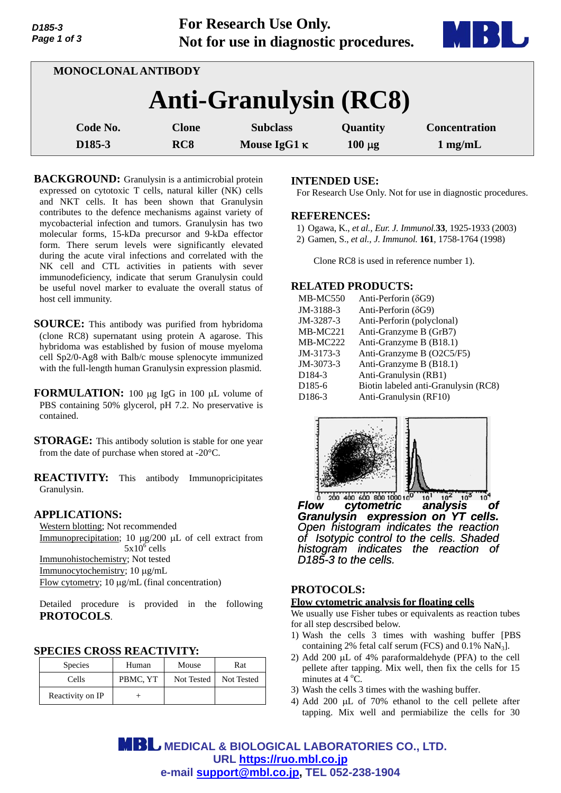| D <sub>185</sub> -3 |  |
|---------------------|--|
| Page 1 of 3         |  |

**For Research Use Only. Not for use in diagnostic procedures.**



| <b>MONOCLONAL ANTIBODY</b>   |                 |                     |             |                      |
|------------------------------|-----------------|---------------------|-------------|----------------------|
| <b>Anti-Granulysin (RC8)</b> |                 |                     |             |                      |
| Code No.                     | <b>Clone</b>    | <b>Subclass</b>     | Quantity    | <b>Concentration</b> |
| D <sub>185</sub> -3          | RC <sub>8</sub> | Mouse IgG1 $\kappa$ | $100 \mu g$ | $1$ mg/mL            |

**BACKGROUND:** Granulysin is a antimicrobial protein expressed on cytotoxic T cells, natural killer (NK) cells and NKT cells. It has been shown that Granulysin contributes to the defence mechanisms against variety of mycobacterial infection and tumors. Granulysin has two molecular forms, 15-kDa precursor and 9-kDa effector form. There serum levels were significantly elevated during the acute viral infections and correlated with the NK cell and CTL activities in patients with sever immunodeficiency, indicate that serum Granulysin could be useful novel marker to evaluate the overall status of host cell immunity.

**SOURCE:** This antibody was purified from hybridoma (clone RC8) supernatant using protein A agarose. This hybridoma was established by fusion of mouse myeloma cell Sp2/0-Ag8 with Balb/c mouse splenocyte immunized with the full-length human Granulysin expression plasmid.

**FORMULATION:** 100 µg IgG in 100 µL volume of PBS containing 50% glycerol, pH 7.2. No preservative is contained.

**STORAGE:** This antibody solution is stable for one year from the date of purchase when stored at -20°C.

**REACTIVITY:** This antibody Immunopricipitates Granulysin.

### **APPLICATIONS:**

Western blotting; Not recommended Immunoprecipitation; 10  $\mu$ g/200  $\mu$ L of cell extract from  $5x10^6$  cells Immunohistochemistry; Not tested Immunocytochemistry; 10 µg/mL Flow cytometry;  $10 \mu g/mL$  (final concentration)

Detailed procedure is provided in the following **PROTOCOLS**.

### **SPECIES CROSS REACTIVITY:**

| <b>Species</b>   | Human    | Mouse      | Rat        |
|------------------|----------|------------|------------|
| Cells            | PBMC, YT | Not Tested | Not Tested |
| Reactivity on IP |          |            |            |

## **INTENDED USE:**

For Research Use Only. Not for use in diagnostic procedures.

### **REFERENCES:**

- 1) Ogawa, K., *et al., Eur. J. Immunol.***33**, 1925-1933 (2003)
- 2) Gamen, S., *et al., J. Immunol.* **161**, 1758-1764 (1998)

Clone RC8 is used in reference number 1).

## **RELATED PRODUCTS:**

| <b>MB-MC550</b>     | Anti-Perforin $(\delta G9)$          |
|---------------------|--------------------------------------|
| JM-3188-3           | Anti-Perforin $(\delta G9)$          |
| JM-3287-3           | Anti-Perforin (polyclonal)           |
| <b>MB-MC221</b>     | Anti-Granzyme B (GrB7)               |
| MB-MC222            | Anti-Granzyme B (B18.1)              |
| JM-3173-3           | Anti-Granzyme B (O2C5/F5)            |
| $JM - 3073 - 3$     | Anti-Granzyme B (B18.1)              |
| D <sub>184</sub> -3 | Anti-Granulysin (RB1)                |
| D <sub>185</sub> -6 | Biotin labeled anti-Granulysin (RC8) |
| D <sub>186</sub> -3 | Anti-Granulysin (RF10)               |



 $400$  600 800 1000 10 *Flow cytometric analysis of*   $10$ *Granulysin expression on YT cells. Open histogram indicates the reaction of Isotypic control to the cells. Shaded histogram indicates the reaction of D185-3 to the cells.*

# **PROTOCOLS:**

#### **Flow cytometric analysis for floating cells**

We usually use Fisher tubes or equivalents as reaction tubes for all step descrsibed below.

- 1) Wash the cells 3 times with washing buffer [PBS containing 2% fetal calf serum (FCS) and  $0.1\%$  NaN<sub>3</sub>].
- 2) Add 200  $\mu$ L of 4% paraformaldehyde (PFA) to the cell pellete after tapping. Mix well, then fix the cells for 15 minutes at  $4^{\circ}$ C.
- 3) Wash the cells 3 times with the washing buffer.
- 4) Add 200  $\mu$ L of 70% ethanol to the cell pellete after tapping. Mix well and permiabilize the cells for 30

**MBL** MEDICAL & BIOLOGICAL LABORATORIES CO., LTD. **URL https://ruo.mbl.co.jp e-mail support@mbl.co.jp, TEL 052-238-1904**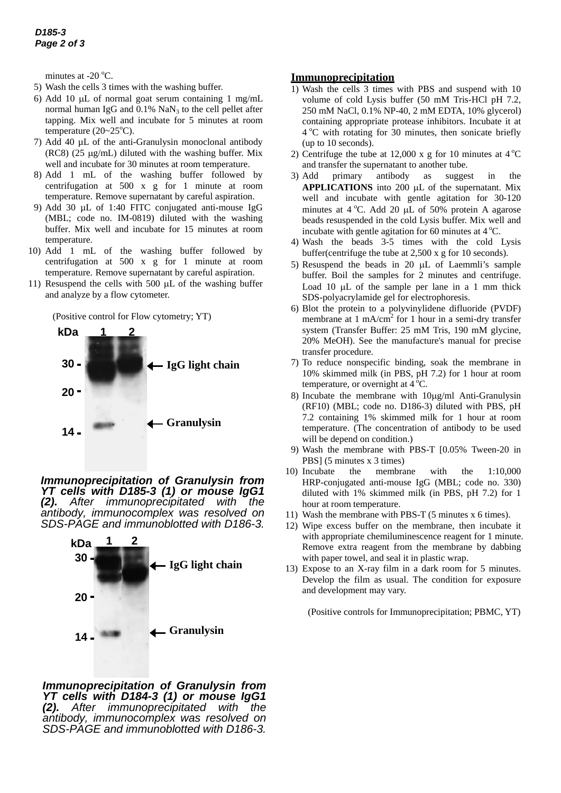minutes at -20 $\,^{\circ}$ C.

- 5) Wash the cells 3 times with the washing buffer.
- 6) Add 10  $\mu$ L of normal goat serum containing 1 mg/mL normal human IgG and  $0.1\%$  NaN<sub>3</sub> to the cell pellet after tapping. Mix well and incubate for 5 minutes at room temperature  $(20~25°C)$ .
- 7) Add 40 µL of the anti-Granulysin monoclonal antibody (RC8) (25  $\mu$ g/mL) diluted with the washing buffer. Mix well and incubate for 30 minutes at room temperature.
- 8) Add 1 mL of the washing buffer followed by centrifugation at 500 x g for 1 minute at room temperature. Remove supernatant by careful aspiration.
- 9) Add 30 µL of 1:40 FITC conjugated anti-mouse IgG (MBL; code no. IM-0819) diluted with the washing buffer. Mix well and incubate for 15 minutes at room temperature.
- 10) Add 1 mL of the washing buffer followed by centrifugation at 500 x g for 1 minute at room temperature. Remove supernatant by careful aspiration.
- 11) Resuspend the cells with 500  $\mu$ L of the washing buffer and analyze by a flow cytometer.

(Positive control for Flow cytometry; YT)



*Immunoprecipitation of Granulysin from YT cells with D185-3 (1) or mouse IgG1 (2). After immunoprecipitated with the antibody, immunocomplex was resolved on SDS-PAGE and immunoblotted with D186-3.* 



*Immunoprecipitation of Granulysin from YT cells with D184-3 (1) or mouse IgG1 (2). After immunoprecipitated with the antibody, immunocomplex was resolved on SDS-PAGE and immunoblotted with D186-3.* 

#### **Immunoprecipitation**

- 1) Wash the cells 3 times with PBS and suspend with 10 volume of cold Lysis buffer (50 mM Tris-HCl pH 7.2, 250 mM NaCl, 0.1% NP-40, 2 mM EDTA, 10% glycerol) containing appropriate protease inhibitors. Incubate it at 4 oC with rotating for 30 minutes, then sonicate briefly (up to 10 seconds).
- 2) Centrifuge the tube at 12,000 x g for 10 minutes at  $4^{\circ}$ C and transfer the supernatant to another tube.
- 3) Add primary antibody as suggest in the **APPLICATIONS** into 200 µL of the supernatant. Mix well and incubate with gentle agitation for 30-120 minutes at  $4^{\circ}$ C. Add 20 µL of 50% protein A agarose beads resuspended in the cold Lysis buffer. Mix well and incubate with gentle agitation for 60 minutes at  $4^{\circ}$ C.
- 4) Wash the beads 3-5 times with the cold Lysis buffer(centrifuge the tube at 2,500 x g for 10 seconds).
- 5) Resuspend the beads in 20  $\mu$ L of Laemmli's sample buffer. Boil the samples for 2 minutes and centrifuge. Load 10  $\mu$ L of the sample per lane in a 1 mm thick SDS-polyacrylamide gel for electrophoresis.
- 6) Blot the protein to a polyvinylidene difluoride (PVDF) membrane at 1 mA/ $\text{cm}^2$  for 1 hour in a semi-dry transfer system (Transfer Buffer: 25 mM Tris, 190 mM glycine, 20% MeOH). See the manufacture's manual for precise transfer procedure.
- 7) To reduce nonspecific binding, soak the membrane in 10% skimmed milk (in PBS, pH 7.2) for 1 hour at room temperature, or overnight at  $4^{\circ}$ C.
- 8) Incubate the membrane with  $10\mu\text{g/ml}$  Anti-Granulysin (RF10) (MBL; code no. D186-3) diluted with PBS, pH 7.2 containing 1% skimmed milk for 1 hour at room temperature. (The concentration of antibody to be used will be depend on condition.)
- 9) Wash the membrane with PBS-T [0.05% Tween-20 in PBS] (5 minutes x 3 times)
- 10) Incubate the membrane with the 1:10,000 HRP-conjugated anti-mouse IgG (MBL; code no. 330) diluted with 1% skimmed milk (in PBS, pH 7.2) for 1 hour at room temperature.
- 11) Wash the membrane with PBS-T (5 minutes x 6 times).
- 12) Wipe excess buffer on the membrane, then incubate it with appropriate chemiluminescence reagent for 1 minute. Remove extra reagent from the membrane by dabbing with paper towel, and seal it in plastic wrap.
- 13) Expose to an X-ray film in a dark room for 5 minutes. Develop the film as usual. The condition for exposure and development may vary.

(Positive controls for Immunoprecipitation; PBMC, YT)